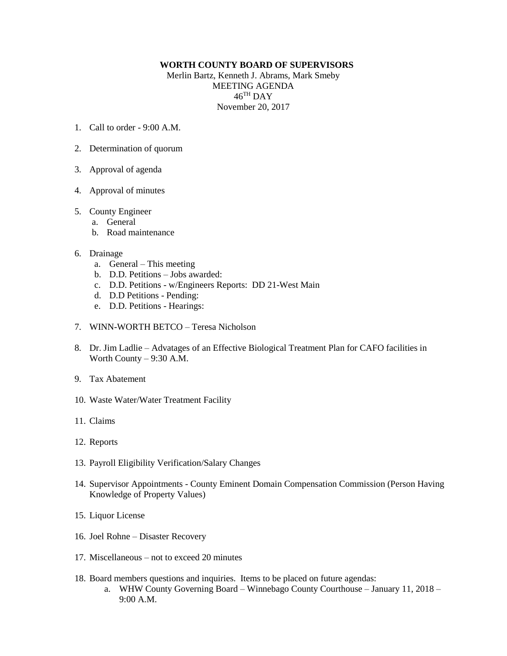## **WORTH COUNTY BOARD OF SUPERVISORS**

Merlin Bartz, Kenneth J. Abrams, Mark Smeby MEETING AGENDA  $46^{\mathrm{TH}}$  DAY November 20, 2017

- 1. Call to order  $9.00 \text{ A M}$
- 2. Determination of quorum
- 3. Approval of agenda
- 4. Approval of minutes

## 5. County Engineer

- a. General
- b. Road maintenance

## 6. Drainage

- a. General This meeting
- b. D.D. Petitions Jobs awarded:
- c. D.D. Petitions w/Engineers Reports: DD 21-West Main
- d. D.D Petitions Pending:
- e. D.D. Petitions Hearings:
- 7. WINN-WORTH BETCO Teresa Nicholson
- 8. Dr. Jim Ladlie Advatages of an Effective Biological Treatment Plan for CAFO facilities in Worth County – 9:30 A.M.
- 9. Tax Abatement
- 10. Waste Water/Water Treatment Facility
- 11. Claims
- 12. Reports
- 13. Payroll Eligibility Verification/Salary Changes
- 14. Supervisor Appointments County Eminent Domain Compensation Commission (Person Having Knowledge of Property Values)
- 15. Liquor License
- 16. Joel Rohne Disaster Recovery
- 17. Miscellaneous not to exceed 20 minutes
- 18. Board members questions and inquiries. Items to be placed on future agendas:
	- a. WHW County Governing Board Winnebago County Courthouse January 11, 2018 9:00 A.M.